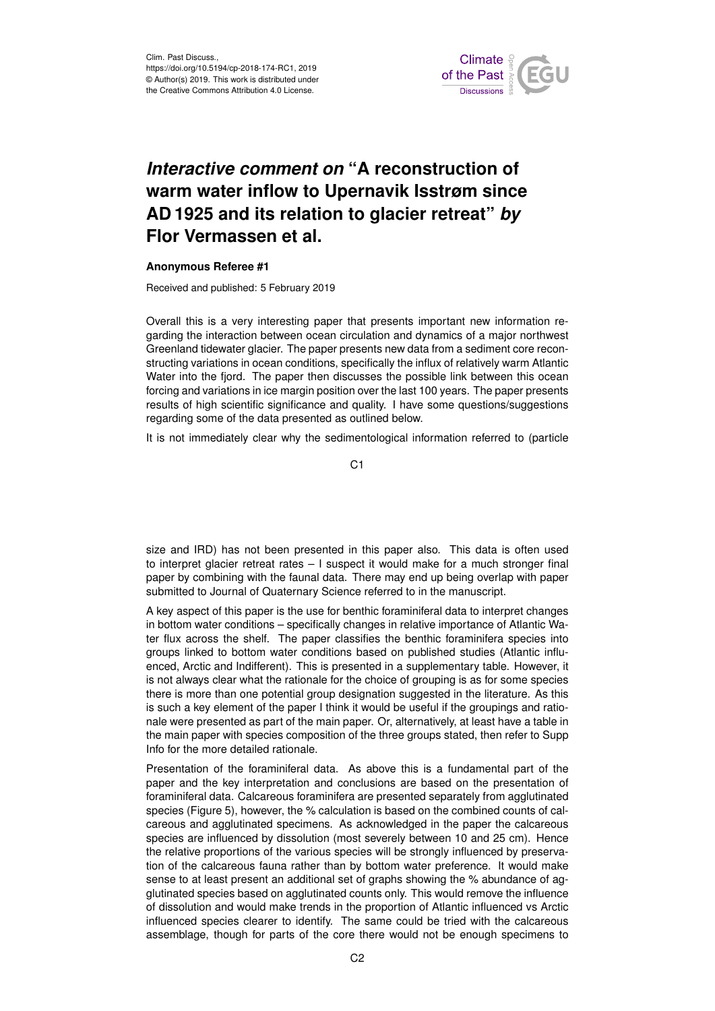

## *Interactive comment on* **"A reconstruction of warm water inflow to Upernavik Isstrøm since AD 1925 and its relation to glacier retreat"** *by* **Flor Vermassen et al.**

## **Anonymous Referee #1**

Received and published: 5 February 2019

Overall this is a very interesting paper that presents important new information regarding the interaction between ocean circulation and dynamics of a major northwest Greenland tidewater glacier. The paper presents new data from a sediment core reconstructing variations in ocean conditions, specifically the influx of relatively warm Atlantic Water into the fjord. The paper then discusses the possible link between this ocean forcing and variations in ice margin position over the last 100 years. The paper presents results of high scientific significance and quality. I have some questions/suggestions regarding some of the data presented as outlined below.

It is not immediately clear why the sedimentological information referred to (particle

C<sub>1</sub>

size and IRD) has not been presented in this paper also. This data is often used to interpret glacier retreat rates – I suspect it would make for a much stronger final paper by combining with the faunal data. There may end up being overlap with paper submitted to Journal of Quaternary Science referred to in the manuscript.

A key aspect of this paper is the use for benthic foraminiferal data to interpret changes in bottom water conditions – specifically changes in relative importance of Atlantic Water flux across the shelf. The paper classifies the benthic foraminifera species into groups linked to bottom water conditions based on published studies (Atlantic influenced, Arctic and Indifferent). This is presented in a supplementary table. However, it is not always clear what the rationale for the choice of grouping is as for some species there is more than one potential group designation suggested in the literature. As this is such a key element of the paper I think it would be useful if the groupings and rationale were presented as part of the main paper. Or, alternatively, at least have a table in the main paper with species composition of the three groups stated, then refer to Supp Info for the more detailed rationale.

Presentation of the foraminiferal data. As above this is a fundamental part of the paper and the key interpretation and conclusions are based on the presentation of foraminiferal data. Calcareous foraminifera are presented separately from agglutinated species (Figure 5), however, the % calculation is based on the combined counts of calcareous and agglutinated specimens. As acknowledged in the paper the calcareous species are influenced by dissolution (most severely between 10 and 25 cm). Hence the relative proportions of the various species will be strongly influenced by preservation of the calcareous fauna rather than by bottom water preference. It would make sense to at least present an additional set of graphs showing the % abundance of agglutinated species based on agglutinated counts only. This would remove the influence of dissolution and would make trends in the proportion of Atlantic influenced vs Arctic influenced species clearer to identify. The same could be tried with the calcareous assemblage, though for parts of the core there would not be enough specimens to